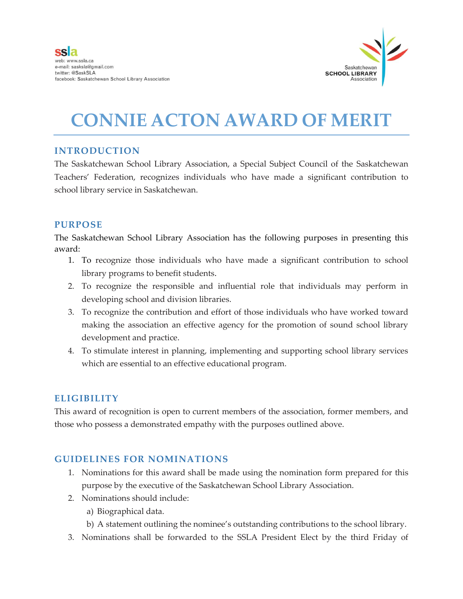

# **CONNIE ACTON AWARD OF MERIT**

## **INTRODUCTION**

The Saskatchewan School Library Association, a Special Subject Council of the Saskatchewan Teachers' Federation, recognizes individuals who have made a significant contribution to school library service in Saskatchewan.

## **PURPOSE**

The Saskatchewan School Library Association has the following purposes in presenting this award:

- 1. To recognize those individuals who have made a significant contribution to school library programs to benefit students.
- 2. To recognize the responsible and influential role that individuals may perform in developing school and division libraries.
- 3. To recognize the contribution and effort of those individuals who have worked toward making the association an effective agency for the promotion of sound school library development and practice.
- 4. To stimulate interest in planning, implementing and supporting school library services which are essential to an effective educational program.

## **ELIGIBILITY**

This award of recognition is open to current members of the association, former members, and those who possess a demonstrated empathy with the purposes outlined above.

## **GUIDELINES FOR NOMINATIONS**

- 1. Nominations for this award shall be made using the nomination form prepared for this purpose by the executive of the Saskatchewan School Library Association.
- 2. Nominations should include:
	- a) Biographical data.
	- b) A statement outlining the nominee's outstanding contributions to the school library.
- 3. Nominations shall be forwarded to the SSLA President Elect by the third Friday of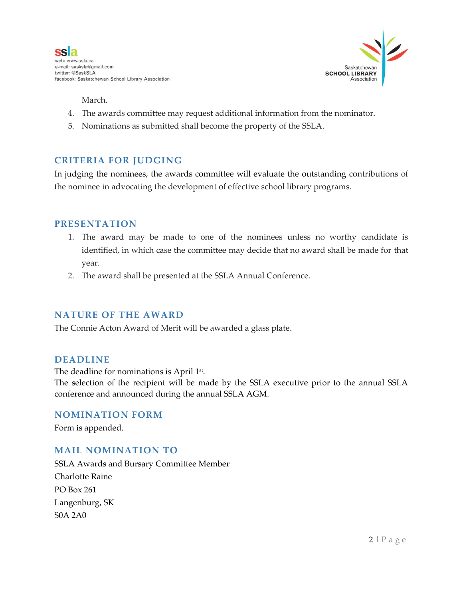

March.

- 4. The awards committee may request additional information from the nominator.
- 5. Nominations as submitted shall become the property of the SSLA.

### **CRITERIA FOR JUDGING**

In judging the nominees, the awards committee will evaluate the outstanding contributions of the nominee in advocating the development of effective school library programs.

#### **PRESENTATION**

- 1. The award may be made to one of the nominees unless no worthy candidate is identified, in which case the committee may decide that no award shall be made for that year.
- 2. The award shall be presented at the SSLA Annual Conference.

#### **NATURE OF THE AWARD**

The Connie Acton Award of Merit will be awarded a glass plate.

#### **DEADLINE**

The deadline for nominations is April  $1<sup>st</sup>$ .

The selection of the recipient will be made by the SSLA executive prior to the annual SSLA conference and announced during the annual SSLA AGM.

#### **NOMINATION FORM**

Form is appended.

#### **MAIL NOMINATION TO**

SSLA Awards and Bursary Committee Member Charlotte Raine PO Box 261 Langenburg, SK S0A 2A0